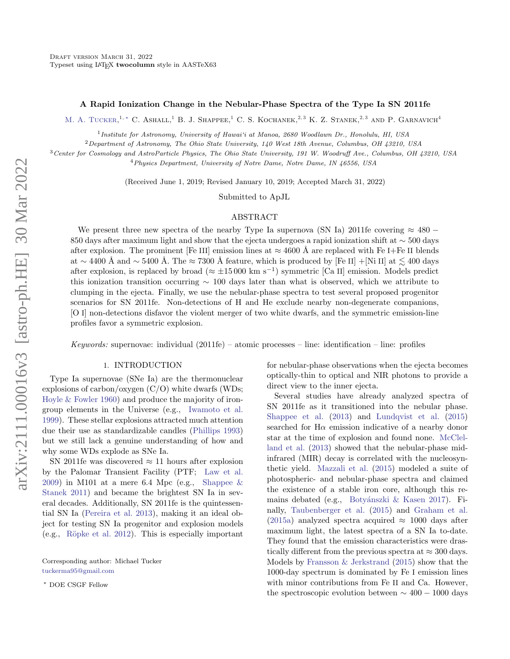# A Rapid Ionization Change in the Nebular-Phase Spectra of the Type Ia SN 2011fe

M. A. TUCKER.<sup>1,\*</sup> C. ASHALL.<sup>1</sup> B. J. SHAPPEE.<sup>1</sup> C. S. KOCHANEK.<sup>2,3</sup> K. Z. STANEK.<sup>2,3</sup> AND P. GARNAVICH<sup>4</sup>

<sup>1</sup> Institute for Astronomy, University of Hawai'i at Manoa, 2680 Woodlawn Dr., Honolulu, HI, USA

<sup>2</sup> Department of Astronomy, The Ohio State University, 140 West 18th Avenue, Columbus, OH 43210, USA

<sup>3</sup>Center for Cosmology and AstroParticle Physics, The Ohio State University, 191 W. Woodruff Ave., Columbus, OH 43210, USA

<sup>4</sup>Physics Department, University of Notre Dame, Notre Dame, IN 46556, USA

(Received June 1, 2019; Revised January 10, 2019; Accepted March 31, 2022)

Submitted to ApJL

### ABSTRACT

We present three new spectra of the nearby Type Ia supernova (SN Ia) 2011fe covering  $\approx 480$  – 850 days after maximum light and show that the ejecta undergoes a rapid ionization shift at ∼ 500 days after explosion. The prominent [Fe III] emission lines at  $\approx 4600 \text{ Å}$  are replaced with Fe I+Fe II blends at ∼ 4400 Å and ∼ 5400 Å. The ≈ 7300 Å feature, which is produced by [Fe II] +[Ni II] at  $\lesssim 400$  days after explosion, is replaced by broad ( $\approx \pm 15000 \text{ km s}^{-1}$ ) symmetric [Ca II] emission. Models predict this ionization transition occurring ∼ 100 days later than what is observed, which we attribute to clumping in the ejecta. Finally, we use the nebular-phase spectra to test several proposed progenitor scenarios for SN 2011fe. Non-detections of H and He exclude nearby non-degenerate companions, [O I] non-detections disfavor the violent merger of two white dwarfs, and the symmetric emission-line profiles favor a symmetric explosion.

Keywords: supernovae: individual  $(2011fe)$  – atomic processes – line: identification – line: profiles

### 1. INTRODUCTION

Type Ia supernovae (SNe Ia) are the thermonuclear explosions of carbon/oxygen  $(C/O)$  white dwarfs (WDs; [Hoyle & Fowler](#page-8-0) [1960\)](#page-8-0) and produce the majority of irongroup elements in the Universe (e.g., [Iwamoto et al.](#page-9-0) [1999\)](#page-9-0). These stellar explosions attracted much attention due their use as standardizable candles [\(Phillips](#page-9-1) [1993\)](#page-9-1) but we still lack a genuine understanding of how and why some WDs explode as SNe Ia.

SN 2011fe was discovered  $\approx$  11 hours after explosion by the Palomar Transient Facility (PTF; [Law et al.](#page-9-2) [2009\)](#page-9-2) in M101 at a mere 6.4 Mpc (e.g., Shappee  $\&$ [Stanek](#page-9-3) [2011\)](#page-9-3) and became the brightest SN Ia in several decades. Additionally, SN 2011fe is the quintessential SN Ia [\(Pereira et al.](#page-9-4) [2013\)](#page-9-4), making it an ideal object for testing SN Ia progenitor and explosion models (e.g., [R¨opke et al.](#page-9-5) [2012\)](#page-9-5). This is especially important

Corresponding author: Michael Tucker [tuckerma95@gmail.com](mailto: tuckerma95@gmail.com)

<span id="page-0-0"></span><sup>∗</sup> DOE CSGF Fellow

for nebular-phase observations when the ejecta becomes optically-thin to optical and NIR photons to provide a direct view to the inner ejecta.

Several studies have already analyzed spectra of SN 2011fe as it transitioned into the nebular phase. [Shappee et al.](#page-9-6) [\(2013\)](#page-9-6) and [Lundqvist et al.](#page-9-7) [\(2015\)](#page-9-7) searched for  $H\alpha$  emission indicative of a nearby donor star at the time of explosion and found none. [McClel](#page-9-8)[land et al.](#page-9-8) [\(2013\)](#page-9-8) showed that the nebular-phase midinfrared (MIR) decay is correlated with the nucleosynthetic yield. [Mazzali et al.](#page-9-9) [\(2015\)](#page-9-9) modeled a suite of photospheric- and nebular-phase spectra and claimed the existence of a stable iron core, although this re-mains debated (e.g., Botyánszki & Kasen [2017\)](#page-8-1). Finally, [Taubenberger et al.](#page-10-0) [\(2015\)](#page-10-0) and [Graham et al.](#page-8-2) [\(2015a\)](#page-8-2) analyzed spectra acquired  $\approx$  1000 days after maximum light, the latest spectra of a SN Ia to-date. They found that the emission characteristics were drastically different from the previous spectra at  $\approx 300$  days. Models by [Fransson & Jerkstrand](#page-8-3) [\(2015\)](#page-8-3) show that the 1000-day spectrum is dominated by Fe I emission lines with minor contributions from Fe II and Ca. However, the spectroscopic evolution between  $\sim 400 - 1000$  days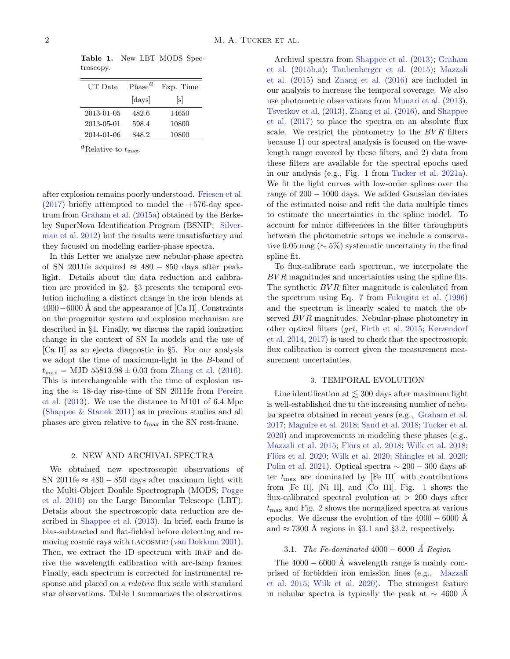| UT Date    | Phase <sup>u</sup> | Exp. Time |
|------------|--------------------|-----------|
|            | [days]             | s         |
| 2013-01-05 | 482.6              | 14650     |
| 2013-05-01 | 598.4              | 10800     |
| 2014-01-06 | 848.2              | 10800     |

<span id="page-1-2"></span>Table 1. New LBT MODS Spectroscopy.

<sup>a</sup>Relative to  $t_{\text{max}}$ .

after explosion remains poorly understood. [Friesen et al.](#page-8-4)  $(2017)$  briefly attempted to model the  $+576$ -day spectrum from [Graham et al.](#page-8-2) [\(2015a\)](#page-8-2) obtained by the Berkeley SuperNova Identification Program (BSNIP; [Silver](#page-9-10)[man et al.](#page-9-10) [2012\)](#page-9-10) but the results were unsatisfactory and they focused on modeling earlier-phase spectra.

In this Letter we analyze new nebular-phase spectra of SN 2011fe acquired  $\approx$  480 – 850 days after peaklight. Details about the data reduction and calibration are provided in §[2.](#page-1-0) §[3](#page-1-1) presents the temporal evolution including a distinct change in the iron blends at  $4000-6000$  Å and the appearance of [Ca II]. Constraints on the progenitor system and explosion mechanism are described in §[4.](#page-5-0) Finally, we discuss the rapid ionization change in the context of SN Ia models and the use of [Ca II] as an ejecta diagnostic in §[5.](#page-7-0) For our analysis we adopt the time of maximum-light in the B-band of  $t_{\text{max}} = \text{MJD } 55813.98 \pm 0.03 \text{ from Zhang et al. (2016)}.$  $t_{\text{max}} = \text{MJD } 55813.98 \pm 0.03 \text{ from Zhang et al. (2016)}.$  $t_{\text{max}} = \text{MJD } 55813.98 \pm 0.03 \text{ from Zhang et al. (2016)}.$  $t_{\text{max}} = \text{MJD } 55813.98 \pm 0.03 \text{ from Zhang et al. (2016)}.$  $t_{\text{max}} = \text{MJD } 55813.98 \pm 0.03 \text{ from Zhang et al. (2016)}.$ This is interchangeable with the time of explosion using the  $\approx$  18-day rise-time of SN 2011fe from [Pereira](#page-9-4) [et al.](#page-9-4) [\(2013\)](#page-9-4). We use the distance to M101 of 6.4 Mpc [\(Shappee & Stanek](#page-9-3) [2011\)](#page-9-3) as in previous studies and all phases are given relative to  $t_{\text{max}}$  in the SN rest-frame.

### 2. NEW AND ARCHIVAL SPECTRA

<span id="page-1-0"></span>We obtained new spectroscopic observations of SN 2011fe  $\approx 480 - 850$  days after maximum light with the Multi-Object Double Spectrograph (MODS; [Pogge](#page-9-11) [et al.](#page-9-11) [2010\)](#page-9-11) on the Large Binocular Telescope (LBT). Details about the spectroscopic data reduction are described in [Shappee et al.](#page-9-6) [\(2013\)](#page-9-6). In brief, each frame is bias-subtracted and flat-fielded before detecting and removing cosmic rays with lacosmic [\(van Dokkum](#page-10-2) [2001\)](#page-10-2). Then, we extract the 1D spectrum with IRAF and derive the wavelength calibration with arc-lamp frames. Finally, each spectrum is corrected for instrumental response and placed on a relative flux scale with standard star observations. Table [1](#page-1-2) summarizes the observations.

Archival spectra from [Shappee et al.](#page-9-6) [\(2013\)](#page-9-6); [Graham](#page-8-5) [et al.](#page-8-5) [\(2015b,](#page-8-5)[a\)](#page-8-2); [Taubenberger et al.](#page-10-0) [\(2015\)](#page-10-0); [Mazzali](#page-9-9) [et al.](#page-9-9) [\(2015\)](#page-9-9) and [Zhang et al.](#page-10-1) [\(2016\)](#page-10-1) are included in our analysis to increase the temporal coverage. We also use photometric observations from [Munari et al.](#page-9-12) [\(2013\)](#page-9-12), [Tsvetkov et al.](#page-10-3) [\(2013\)](#page-10-3), [Zhang et al.](#page-10-1) [\(2016\)](#page-10-1), and [Shappee](#page-9-13) [et al.](#page-9-13) [\(2017\)](#page-9-13) to place the spectra on an absolute flux scale. We restrict the photometry to the  $BVR$  filters because 1) our spectral analysis is focused on the wavelength range covered by these filters, and 2) data from these filters are available for the spectral epochs used in our analysis (e.g., Fig. 1 from [Tucker et al.](#page-10-4) [2021a\)](#page-10-4). We fit the light curves with low-order splines over the range of  $200 - 1000$  days. We added Gaussian deviates of the estimated noise and refit the data multiple times to estimate the uncertainties in the spline model. To account for minor differences in the filter throughputs between the photometric setups we include a conservative 0.05 mag ( $\sim$  5%) systematic uncertainty in the final spline fit.

To flux-calibrate each spectrum, we interpolate the BV R magnitudes and uncertainties using the spline fits. The synthetic  $BVR$  filter magnitude is calculated from the spectrum using Eq. 7 from [Fukugita et al.](#page-8-6) [\(1996\)](#page-8-6) and the spectrum is linearly scaled to match the observed  $BVR$  magnitudes. Nebular-phase photometry in other optical filters (gri, [Firth et al.](#page-8-7) [2015;](#page-8-7) [Kerzendorf](#page-9-14) [et al.](#page-9-14) [2014,](#page-9-14) [2017\)](#page-9-15) is used to check that the spectroscopic flux calibration is correct given the measurement measurement uncertainties.

# 3. TEMPORAL EVOLUTION

<span id="page-1-1"></span>Line identification at  $\lesssim 300$  days after maximum light is well-established due to the increasing number of nebular spectra obtained in recent years (e.g., [Graham et al.](#page-8-8) [2017;](#page-8-8) [Maguire et al.](#page-9-16) [2018;](#page-9-16) [Sand et al.](#page-9-17) [2018;](#page-9-17) [Tucker et al.](#page-10-5) [2020\)](#page-10-5) and improvements in modeling these phases (e.g., [Mazzali et al.](#page-9-9) [2015;](#page-9-9) Flörs et al. [2018;](#page-10-6) [Wilk et al.](#page-10-6) 2018; Flörs et al. [2020;](#page-9-18) [Wilk et al.](#page-10-7) 2020; [Shingles et al.](#page-9-18) 2020; [Polin et al.](#page-9-19) [2021\)](#page-9-19). Optical spectra  $\sim 200 - 300$  days after  $t_{\text{max}}$  are dominated by [Fe III] with contributions from [Fe II], [Ni II], and [Co III]. Fig. [1](#page-2-0) shows the flux-calibrated spectral evolution at  $> 200$  days after  $t_{\text{max}}$  and Fig. [2](#page-3-0) shows the normalized spectra at various epochs. We discuss the evolution of the  $4000 - 6000$  Å and  $\approx 7300$  Å regions in §[3.1](#page-1-3) and §[3.2,](#page-2-1) respectively.

# 3.1. The Fe-dominated  $4000 - 6000$  Å Region

<span id="page-1-3"></span>The  $4000 - 6000$  Å wavelength range is mainly comprised of forbidden iron emission lines (e.g., [Mazzali](#page-9-9) [et al.](#page-9-9) [2015;](#page-9-9) [Wilk et al.](#page-10-7) [2020\)](#page-10-7). The strongest feature in nebular spectra is typically the peak at  $\sim$  4600 Å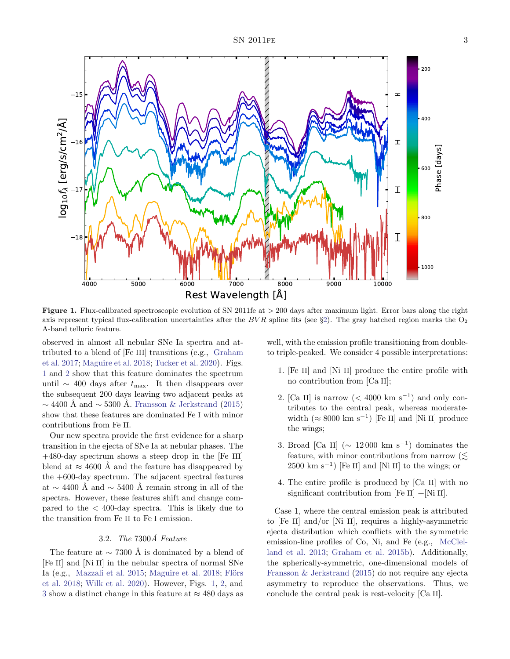

<span id="page-2-0"></span>Figure 1. Flux-calibrated spectroscopic evolution of SN 2011fe at > 200 days after maximum light. Error bars along the right axis represent typical flux-calibration uncertainties after the  $BVR$  spline fits (see §[2\)](#page-1-0). The gray hatched region marks the  $O<sub>2</sub>$ A-band telluric feature.

observed in almost all nebular SNe Ia spectra and attributed to a blend of [Fe III] transitions (e.g., [Graham](#page-8-8) [et al.](#page-8-8) [2017;](#page-8-8) [Maguire et al.](#page-9-16) [2018;](#page-9-16) [Tucker et al.](#page-10-5) [2020\)](#page-10-5). Figs. [1](#page-2-0) and [2](#page-3-0) show that this feature dominates the spectrum until  $\sim$  400 days after  $t_{\text{max}}$ . It then disappears over the subsequent 200 days leaving two adjacent peaks at  $\sim$  4400 Å and  $\sim$  5300 Å. [Fransson & Jerkstrand](#page-8-3) [\(2015\)](#page-8-3) show that these features are dominated Fe I with minor contributions from Fe II.

Our new spectra provide the first evidence for a sharp transition in the ejecta of SNe Ia at nebular phases. The +480-day spectrum shows a steep drop in the [Fe III] blend at  $\approx 4600$  Å and the feature has disappeared by the +600-day spectrum. The adjacent spectral features at  $\sim$  4400 Å and  $\sim$  5400 Å remain strong in all of the spectra. However, these features shift and change compared to the  $\langle 400 \text{-day spectra.}$  This is likely due to the transition from Fe II to Fe I emission.

# 3.2. The  $7300\AA$  Feature

<span id="page-2-1"></span>The feature at  $\sim$  7300 Å is dominated by a blend of [Fe II] and [Ni II] in the nebular spectra of normal SNe Ia (e.g., [Mazzali et al.](#page-9-9) [2015;](#page-9-9) [Maguire et al.](#page-9-16) [2018;](#page-9-16) Flörs [et al.](#page-8-9) [2018;](#page-8-9) [Wilk et al.](#page-10-7) [2020\)](#page-10-7). However, Figs. [1,](#page-2-0) [2,](#page-3-0) and [3](#page-4-0) show a distinct change in this feature at  $\approx$  480 days as

well, with the emission profile transitioning from doubleto triple-peaked. We consider 4 possible interpretations:

- 1. [Fe II] and [Ni II] produce the entire profile with no contribution from [Ca II];
- 2. [Ca II] is narrow  $(< 4000 \text{ km s}^{-1})$  and only contributes to the central peak, whereas moderatewidth  $(\approx 8000 \text{ km s}^{-1})$  [Fe II] and [Ni II] produce the wings;
- 3. Broad [Ca II] ( $\sim 12000 \text{ km s}^{-1}$ ) dominates the feature, with minor contributions from narrow  $(\leq)$  $2500 \text{ km s}^{-1}$ ) [Fe II] and [Ni II] to the wings; or
- 4. The entire profile is produced by [Ca II] with no significant contribution from  $[Fe II] + [Ni II].$

Case 1, where the central emission peak is attributed to [Fe II] and/or [Ni II], requires a highly-asymmetric ejecta distribution which conflicts with the symmetric emission-line profiles of Co, Ni, and Fe (e.g., [McClel](#page-9-8)[land et al.](#page-9-8) [2013;](#page-9-8) [Graham et al.](#page-8-5) [2015b\)](#page-8-5). Additionally, the spherically-symmetric, one-dimensional models of [Fransson & Jerkstrand](#page-8-3) [\(2015\)](#page-8-3) do not require any ejecta asymmetry to reproduce the observations. Thus, we conclude the central peak is rest-velocity [Ca II].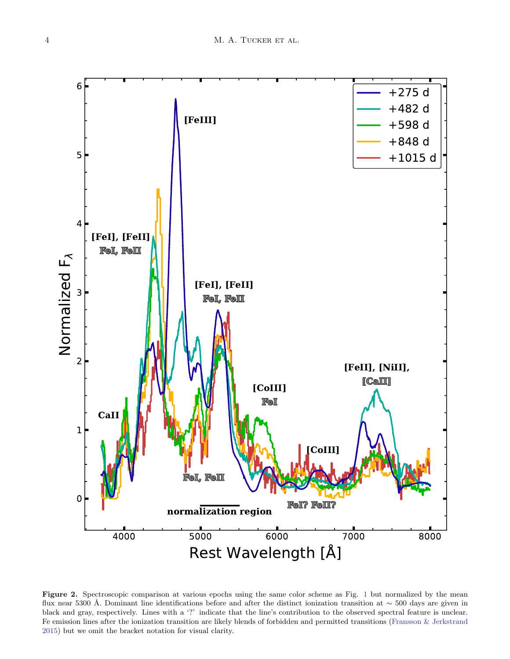

<span id="page-3-0"></span>Figure 2. Spectroscopic comparison at various epochs using the same color scheme as Fig. [1](#page-2-0) but normalized by the mean flux near 5300 Å. Dominant line identifications before and after the distinct ionization transition at ∼ 500 days are given in black and gray, respectively. Lines with a '?' indicate that the line's contribution to the observed spectral feature is unclear. Fe emission lines after the ionization transition are likely blends of forbidden and permitted transitions [\(Fransson & Jerkstrand](#page-8-3) [2015\)](#page-8-3) but we omit the bracket notation for visual clarity.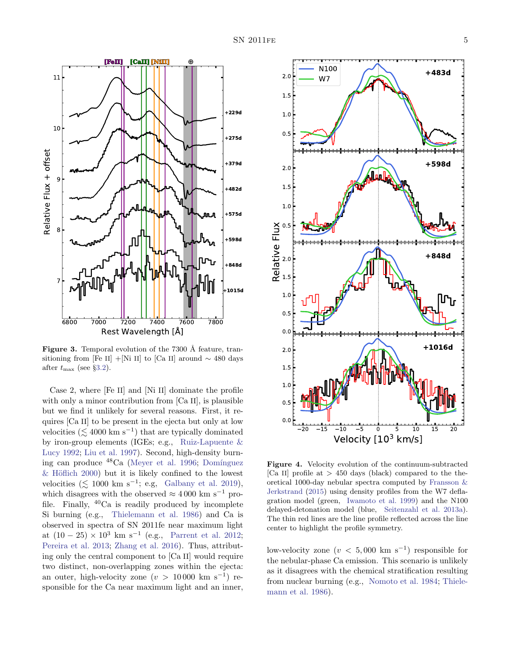

<span id="page-4-0"></span>**Figure 3.** Temporal evolution of the  $7300 \text{ Å}$  feature, transitioning from [Fe II] +[Ni II] to [Ca II] around  $\sim$  480 days after  $t_{\text{max}}$  (see §[3.2\)](#page-2-1).

Case 2, where [Fe II] and [Ni II] dominate the profile with only a minor contribution from [Ca II], is plausible but we find it unlikely for several reasons. First, it requires [Ca II] to be present in the ejecta but only at low velocities ( $\lesssim 4000 \text{ km s}^{-1}$ ) that are typically dominated by iron-group elements (IGEs; e.g., [Ruiz-Lapuente &](#page-9-20) [Lucy](#page-9-20) [1992;](#page-9-20) [Liu et al.](#page-9-21) [1997\)](#page-9-21). Second, high-density burning can produce  $48Ca$  [\(Meyer et al.](#page-9-22) [1996;](#page-9-22) Domínguez  $\&$  Höflich [2000\)](#page-8-11) but it is likely confined to the lowest velocities ( $\lesssim 1000 \text{ km s}^{-1}$ ; e.g, [Galbany et al.](#page-8-12) [2019\)](#page-8-12), which disagrees with the observed  $\approx 4000$  km s<sup>-1</sup> profile. Finally,  $^{40}$ Ca is readily produced by incomplete Si burning (e.g., [Thielemann et al.](#page-10-8) [1986\)](#page-10-8) and Ca is observed in spectra of SN 2011fe near maximum light at  $(10 - 25) \times 10^3$  km s<sup>-1</sup> (e.g., [Parrent et al.](#page-9-23) [2012;](#page-9-23) [Pereira et al.](#page-9-4) [2013;](#page-9-4) [Zhang et al.](#page-10-1) [2016\)](#page-10-1). Thus, attributing only the central component to [Ca II] would require two distinct, non-overlapping zones within the ejecta: an outer, high-velocity zone  $(v > 10000 \text{ km s}^{-1})$  responsible for the Ca near maximum light and an inner,



<span id="page-4-1"></span>Figure 4. Velocity evolution of the continuum-subtracted [Ca II] profile at  $> 450$  days (black) compared to the theoretical 1000-day nebular spectra computed by [Fransson &](#page-8-3) [Jerkstrand](#page-8-3) [\(2015\)](#page-8-3) using density profiles from the W7 deflagration model (green, [Iwamoto et al.](#page-9-0) [1999\)](#page-9-0) and the N100 delayed-detonation model (blue, [Seitenzahl et al.](#page-9-24) [2013a\)](#page-9-24). The thin red lines are the line profile reflected across the line center to highlight the profile symmetry.

low-velocity zone  $(v < 5,000 \text{ km s}^{-1})$  responsible for the nebular-phase Ca emission. This scenario is unlikely as it disagrees with the chemical stratification resulting from nuclear burning (e.g., [Nomoto et al.](#page-9-25) [1984;](#page-9-25) [Thiele](#page-10-8)[mann et al.](#page-10-8) [1986\)](#page-10-8).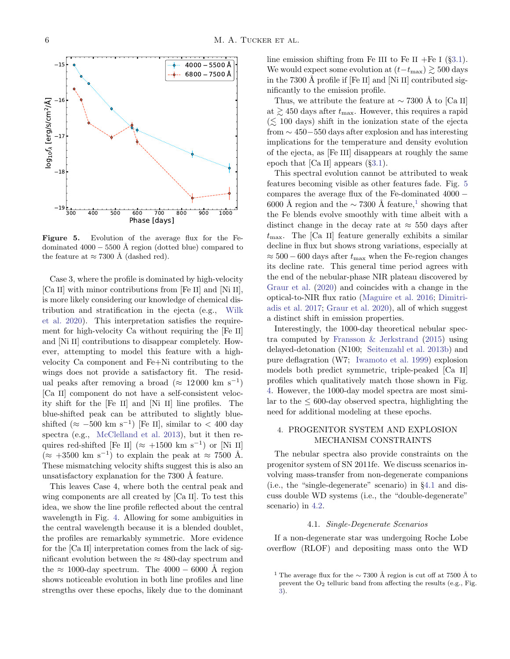

<span id="page-5-1"></span>Figure 5. Evolution of the average flux for the Fedominated  $4000 - 5500$  Å region (dotted blue) compared to the feature at  $\approx 7300$  Å (dashed red).

Case 3, where the profile is dominated by high-velocity [Ca II] with minor contributions from [Fe II] and [Ni II], is more likely considering our knowledge of chemical distribution and stratification in the ejecta (e.g., [Wilk](#page-10-7) [et al.](#page-10-7) [2020\)](#page-10-7). This interpretation satisfies the requirement for high-velocity Ca without requiring the [Fe II] and [Ni II] contributions to disappear completely. However, attempting to model this feature with a highvelocity Ca component and Fe+Ni contributing to the wings does not provide a satisfactory fit. The residual peaks after removing a broad ( $\approx 12000 \text{ km s}^{-1}$ ) [Ca II] component do not have a self-consistent velocity shift for the [Fe II] and [Ni II] line profiles. The blue-shifted peak can be attributed to slightly blueshifted  $(\approx -500 \text{ km s}^{-1})$  [Fe II], similar to < 400 day spectra (e.g., [McClelland et al.](#page-9-8) [2013\)](#page-9-8), but it then requires red-shifted [Fe II] ( $\approx$  +1500 km s<sup>-1</sup>) or [Ni II]  $(\approx +3500 \text{ km s}^{-1})$  to explain the peak at  $\approx 7500 \text{ Å}.$ These mismatching velocity shifts suggest this is also an unsatisfactory explanation for the 7300 Å feature.

This leaves Case 4, where both the central peak and wing components are all created by [Ca II]. To test this idea, we show the line profile reflected about the central wavelength in Fig. [4.](#page-4-1) Allowing for some ambiguities in the central wavelength because it is a blended doublet, the profiles are remarkably symmetric. More evidence for the [Ca II] interpretation comes from the lack of significant evolution between the  $\approx$  480-day spectrum and the  $\approx 1000$ -day spectrum. The 4000 – 6000 Å region shows noticeable evolution in both line profiles and line strengths over these epochs, likely due to the dominant

line emission shifting from Fe III to Fe II +Fe I  $(\S3.1)$  $(\S3.1)$ . We would expect some evolution at  $(t-t_{\text{max}}) \gtrsim 500 \text{ days}$ in the 7300 Å profile if  $[Fe II]$  and  $[Ni II]$  contributed significantly to the emission profile.

Thus, we attribute the feature at  $\sim 7300$  Å to [Ca II] at  $\geq 450$  days after  $t_{\text{max}}$ . However, this requires a rapid  $(\leq 100 \text{ days})$  shift in the ionization state of the ejecta from ∼ 450−550 days after explosion and has interesting implications for the temperature and density evolution of the ejecta, as [Fe III] disappears at roughly the same epoch that  $[Ca II]$  appears  $(\S 3.1)$  $(\S 3.1)$ .

This spectral evolution cannot be attributed to weak features becoming visible as other features fade. Fig. [5](#page-5-1) compares the average flux of the Fe-dominated 4000 − 6000 Å region and the  $\sim$  7300 Å feature,<sup>[1](#page-5-2)</sup> showing that the Fe blends evolve smoothly with time albeit with a distinct change in the decay rate at  $\approx$  550 days after  $t_{\text{max}}$ . The [Ca II] feature generally exhibits a similar decline in flux but shows strong variations, especially at  $\approx 500 - 600$  days after  $t_{\text{max}}$  when the Fe-region changes its decline rate. This general time period agrees with the end of the nebular-phase NIR plateau discovered by [Graur et al.](#page-8-13) [\(2020\)](#page-8-13) and coincides with a change in the optical-to-NIR flux ratio [\(Maguire et al.](#page-9-26) [2016;](#page-9-26) [Dimitri](#page-8-14)[adis et al.](#page-8-14) [2017;](#page-8-14) [Graur et al.](#page-8-13) [2020\)](#page-8-13), all of which suggest a distinct shift in emission properties.

Interestingly, the 1000-day theoretical nebular spectra computed by [Fransson & Jerkstrand](#page-8-3) [\(2015\)](#page-8-3) using delayed-detonation (N100; [Seitenzahl et al.](#page-9-27) [2013b\)](#page-9-27) and pure deflagration (W7; [Iwamoto et al.](#page-9-0) [1999\)](#page-9-0) explosion models both predict symmetric, triple-peaked [Ca II] profiles which qualitatively match those shown in Fig. [4.](#page-4-1) However, the 1000-day model spectra are most similar to the  $\leq 600$ -day observed spectra, highlighting the need for additional modeling at these epochs.

# <span id="page-5-0"></span>4. PROGENITOR SYSTEM AND EXPLOSION MECHANISM CONSTRAINTS

The nebular spectra also provide constraints on the progenitor system of SN 2011fe. We discuss scenarios involving mass-transfer from non-degenerate companions (i.e., the "single-degenerate" scenario) in §[4.1](#page-5-3) and discuss double WD systems (i.e., the "double-degenerate" scenario) in [4.2.](#page-6-0)

#### 4.1. Single-Degenerate Scenarios

<span id="page-5-3"></span>If a non-degenerate star was undergoing Roche Lobe overflow (RLOF) and depositing mass onto the WD

<span id="page-5-2"></span><sup>&</sup>lt;sup>1</sup> The average flux for the  $\sim$  7300 Å region is cut off at 7500 Å to prevent the  $O_2$  telluric band from affecting the results (e.g., Fig. [3\)](#page-4-0).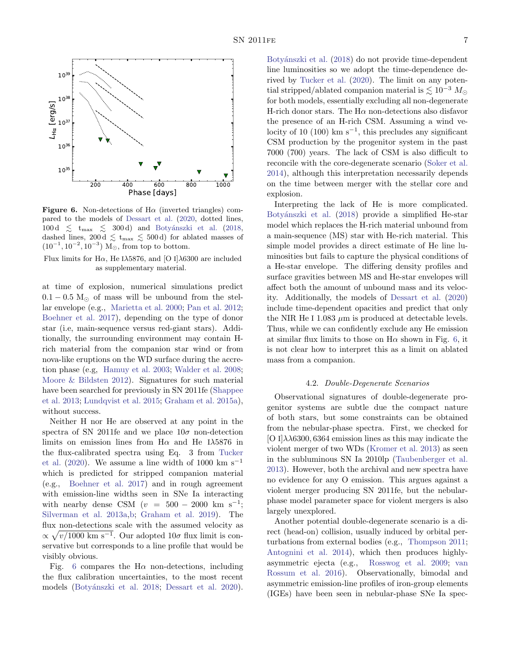

<span id="page-6-1"></span>**Figure 6.** Non-detections of  $H\alpha$  (inverted triangles) compared to the models of [Dessart et al.](#page-8-15) [\(2020,](#page-8-15) dotted lines, 100 d  $\lesssim$  t $_{\rm max}$   $\lesssim$  300 d) and Botyánszki et al. [\(2018,](#page-8-16) dashed lines, 200 d  $\leq$  t<sub>max</sub>  $\leq$  500 d) for ablated masses of  $(10^{-1}, 10^{-2}, 10^{-3})$  M<sub>☉</sub>, from top to bottom.

Flux limits for Hα, He Iλ5876, and [O I]λ6300 are included as supplementary material.

at time of explosion, numerical simulations predict  $0.1 - 0.5$  M<sub> $\odot$ </sub> of mass will be unbound from the stellar envelope (e.g., [Marietta et al.](#page-9-28) [2000;](#page-9-28) [Pan et al.](#page-9-29) [2012;](#page-9-29) [Boehner et al.](#page-8-17) [2017\)](#page-8-17), depending on the type of donor star (i.e, main-sequence versus red-giant stars). Additionally, the surrounding environment may contain Hrich material from the companion star wind or from nova-like eruptions on the WD surface during the accretion phase (e.g, [Hamuy et al.](#page-8-18) [2003;](#page-8-18) [Walder et al.](#page-10-9) [2008;](#page-10-9) [Moore & Bildsten](#page-9-30) [2012\)](#page-9-30). Signatures for such material have been searched for previously in SN 2011fe [\(Shappee](#page-9-6) [et al.](#page-9-6) [2013;](#page-9-6) [Lundqvist et al.](#page-9-7) [2015;](#page-9-7) [Graham et al.](#page-8-2) [2015a\)](#page-8-2), without success.

Neither H nor He are observed at any point in the spectra of SN 2011fe and we place  $10\sigma$  non-detection limits on emission lines from  $H\alpha$  and He I $\lambda$ 5876 in the flux-calibrated spectra using Eq. 3 from [Tucker](#page-10-5) [et al.](#page-10-5) [\(2020\)](#page-10-5). We assume a line width of 1000 km s<sup>-1</sup> which is predicted for stripped companion material (e.g., [Boehner et al.](#page-8-17) [2017\)](#page-8-17) and in rough agreement with emission-line widths seen in SNe Ia interacting with nearby dense CSM  $(v = 500 - 2000 \text{ km s}^{-1})$ ; [Silverman et al.](#page-9-31) [2013a,](#page-9-31)[b;](#page-10-10) [Graham et al.](#page-8-19) [2019\)](#page-8-19). The flux non-detections scale with the assumed velocity as  $\propto \sqrt{v/1000 \text{ km s}^{-1}}$ . Our adopted  $10\sigma$  flux limit is conservative but corresponds to a line profile that would be visibly obvious.

Fig. [6](#page-6-1) compares the H $\alpha$  non-detections, including the flux calibration uncertainties, to the most recent models (Botyánszki et al. [2018;](#page-8-16) [Dessart et al.](#page-8-15) [2020\)](#page-8-15).

Botyánszki et al. [\(2018\)](#page-8-16) do not provide time-dependent line luminosities so we adopt the time-dependence derived by [Tucker et al.](#page-10-5) [\(2020\)](#page-10-5). The limit on any potential stripped/ablated companion material is  $\lesssim 10^{-3} M_{\odot}$ for both models, essentially excluding all non-degenerate H-rich donor stars. The  $H\alpha$  non-detections also disfavor the presence of an H-rich CSM. Assuming a wind velocity of 10 (100) km s<sup>-1</sup>, this precludes any significant CSM production by the progenitor system in the past 7000 (700) years. The lack of CSM is also difficult to reconcile with the core-degenerate scenario [\(Soker et al.](#page-10-11) [2014\)](#page-10-11), although this interpretation necessarily depends on the time between merger with the stellar core and explosion.

Interpreting the lack of He is more complicated. Botyánszki et al. [\(2018\)](#page-8-16) provide a simplified He-star model which replaces the H-rich material unbound from a main-sequence (MS) star with He-rich material. This simple model provides a direct estimate of He line luminosities but fails to capture the physical conditions of a He-star envelope. The differing density profiles and surface gravities between MS and He-star envelopes will affect both the amount of unbound mass and its velocity. Additionally, the models of [Dessart et al.](#page-8-15) [\(2020\)](#page-8-15) include time-dependent opacities and predict that only the NIR He I 1.083  $\mu$ m is produced at detectable levels. Thus, while we can confidently exclude any He emission at similar flux limits to those on  $H\alpha$  shown in Fig. [6,](#page-6-1) it is not clear how to interpret this as a limit on ablated mass from a companion.

### 4.2. Double-Degenerate Scenarios

<span id="page-6-0"></span>Observational signatures of double-degenerate progenitor systems are subtle due the compact nature of both stars, but some constraints can be obtained from the nebular-phase spectra. First, we checked for [O I] $\lambda\lambda$ 6300, 6364 emission lines as this may indicate the violent merger of two WDs [\(Kromer et al.](#page-9-32) [2013\)](#page-9-32) as seen in the subluminous SN Ia 2010lp [\(Taubenberger et al.](#page-10-12) [2013\)](#page-10-12). However, both the archival and new spectra have no evidence for any O emission. This argues against a violent merger producing SN 2011fe, but the nebularphase model parameter space for violent mergers is also largely unexplored.

Another potential double-degenerate scenario is a direct (head-on) collision, usually induced by orbital perturbations from external bodies (e.g., [Thompson](#page-10-13) [2011;](#page-10-13) [Antognini et al.](#page-8-20) [2014\)](#page-8-20), which then produces highlyasymmetric ejecta (e.g., [Rosswog et al.](#page-9-33) [2009;](#page-9-33) [van](#page-10-14) [Rossum et al.](#page-10-14) [2016\)](#page-10-14). Observationally, bimodal and asymmetric emission-line profiles of iron-group elements (IGEs) have been seen in nebular-phase SNe Ia spec-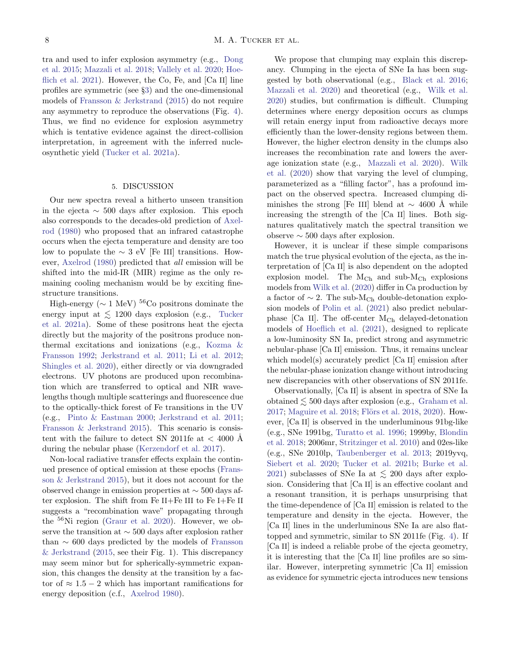tra and used to infer explosion asymmetry (e.g., [Dong](#page-8-21) [et al.](#page-8-21) [2015;](#page-8-21) [Mazzali et al.](#page-9-34) [2018;](#page-9-34) [Vallely et al.](#page-10-15) [2020;](#page-10-15) [Hoe](#page-8-22)[flich et al.](#page-8-22) [2021\)](#page-8-22). However, the Co, Fe, and  $[Ca II]$  line profiles are symmetric (see §[3\)](#page-1-1) and the one-dimensional models of [Fransson & Jerkstrand](#page-8-3) [\(2015\)](#page-8-3) do not require any asymmetry to reproduce the observations (Fig. [4\)](#page-4-1). Thus, we find no evidence for explosion asymmetry which is tentative evidence against the direct-collision interpretation, in agreement with the inferred nucleosynthetic yield [\(Tucker et al.](#page-10-4) [2021a\)](#page-10-4).

#### 5. DISCUSSION

<span id="page-7-0"></span>Our new spectra reveal a hitherto unseen transition in the ejecta  $\sim$  500 days after explosion. This epoch also corresponds to the decades-old prediction of [Axel](#page-8-23)[rod](#page-8-23) [\(1980\)](#page-8-23) who proposed that an infrared catastrophe occurs when the ejecta temperature and density are too low to populate the  $\sim 3$  eV [Fe III] transitions. However, [Axelrod](#page-8-23) [\(1980\)](#page-8-23) predicted that all emission will be shifted into the mid-IR (MIR) regime as the only remaining cooling mechanism would be by exciting finestructure transitions.

High-energy ( $\sim$  1 MeV)<sup>56</sup>Co positrons dominate the energy input at  $\lesssim 1200$  days explosion (e.g., [Tucker](#page-10-4) [et al.](#page-10-4) [2021a\)](#page-10-4). Some of these positrons heat the ejecta directly but the majority of the positrons produce nonthermal excitations and ionizations (e.g., [Kozma &](#page-9-35) [Fransson](#page-9-35) [1992;](#page-9-35) [Jerkstrand et al.](#page-9-36) [2011;](#page-9-36) [Li et al.](#page-9-37) [2012;](#page-9-37) [Shingles et al.](#page-9-18) [2020\)](#page-9-18), either directly or via downgraded electrons. UV photons are produced upon recombination which are transferred to optical and NIR wavelengths though multiple scatterings and fluorescence due to the optically-thick forest of Fe transitions in the UV (e.g., [Pinto & Eastman](#page-9-38) [2000;](#page-9-38) [Jerkstrand et al.](#page-9-36) [2011;](#page-9-36) [Fransson & Jerkstrand](#page-8-3) [2015\)](#page-8-3). This scenario is consistent with the failure to detect SN 2011fe at  $< 4000$  Å during the nebular phase [\(Kerzendorf et al.](#page-9-15) [2017\)](#page-9-15).

Non-local radiative transfer effects explain the continued presence of optical emission at these epochs [\(Frans](#page-8-3)[son & Jerkstrand](#page-8-3) [2015\)](#page-8-3), but it does not account for the observed change in emission properties at ∼ 500 days after explosion. The shift from Fe II+Fe III to Fe I+Fe II suggests a "recombination wave" propagating through the <sup>56</sup>Ni region [\(Graur et al.](#page-8-13) [2020\)](#page-8-13). However, we observe the transition at ∼ 500 days after explosion rather than  $\sim$  600 days predicted by the models of [Fransson](#page-8-3) [& Jerkstrand](#page-8-3) [\(2015,](#page-8-3) see their Fig. 1). This discrepancy may seem minor but for spherically-symmetric expansion, this changes the density at the transition by a factor of  $\approx 1.5 - 2$  which has important ramifications for energy deposition (c.f., [Axelrod](#page-8-23) [1980\)](#page-8-23).

We propose that clumping may explain this discrepancy. Clumping in the ejecta of SNe Ia has been suggested by both observational (e.g., [Black et al.](#page-8-24) [2016;](#page-8-24) [Mazzali et al.](#page-9-39) [2020\)](#page-9-39) and theoretical (e.g., [Wilk et al.](#page-10-7) [2020\)](#page-10-7) studies, but confirmation is difficult. Clumping determines where energy deposition occurs as clumps will retain energy input from radioactive decays more efficiently than the lower-density regions between them. However, the higher electron density in the clumps also increases the recombination rate and lowers the average ionization state (e.g., [Mazzali et al.](#page-9-39) [2020\)](#page-9-39). [Wilk](#page-10-7) [et al.](#page-10-7) [\(2020\)](#page-10-7) show that varying the level of clumping, parameterized as a "filling factor", has a profound impact on the observed spectra. Increased clumping diminishes the strong [Fe III] blend at  $\sim$  4600 Å while increasing the strength of the [Ca II] lines. Both signatures qualitatively match the spectral transition we observe  $\sim$  500 days after explosion.

However, it is unclear if these simple comparisons match the true physical evolution of the ejecta, as the interpretation of [Ca II] is also dependent on the adopted explosion model. The  $M_{Ch}$  and sub- $M_{Ch}$  explosions models from [Wilk et al.](#page-10-7) [\(2020\)](#page-10-7) differ in Ca production by a factor of  $\sim$  2. The sub-M<sub>Ch</sub> double-detonation explosion models of [Polin et al.](#page-9-19) [\(2021\)](#page-9-19) also predict nebularphase  $[Ca II]$ . The off-center  $M_{Ch}$  delayed-detonation models of [Hoeflich et al.](#page-8-22) [\(2021\)](#page-8-22), designed to replicate a low-luminosity SN Ia, predict strong and asymmetric nebular-phase [Ca II] emission. Thus, it remains unclear which model(s) accurately predict [Ca II] emission after the nebular-phase ionization change without introducing new discrepancies with other observations of SN 2011fe.

Observationally, [Ca II] is absent in spectra of SNe Ia obtained  $\leq 500$  days after explosion (e.g., [Graham et al.](#page-8-8) [2017;](#page-8-8) [Maguire et al.](#page-9-16) [2018;](#page-9-16) Flörs et al. [2018,](#page-8-9) [2020\)](#page-8-10). However, [Ca II] is observed in the underluminous 91bg-like (e.g., SNe 1991bg, [Turatto et al.](#page-10-16) [1996;](#page-10-16) 1999by, [Blondin](#page-8-25) [et al.](#page-8-25) [2018;](#page-8-25) 2006mr, [Stritzinger et al.](#page-10-17) [2010\)](#page-10-17) and 02es-like (e.g., SNe 2010lp, [Taubenberger et al.](#page-10-12) [2013;](#page-10-12) 2019yvq, [Siebert et al.](#page-9-40) [2020;](#page-9-40) [Tucker et al.](#page-10-18) [2021b;](#page-10-18) [Burke et al.](#page-8-26) [2021\)](#page-8-26) subclasses of SNe Ia at  $\lesssim$  200 days after explosion. Considering that [Ca II] is an effective coolant and a resonant transition, it is perhaps unsurprising that the time-dependence of [Ca II] emission is related to the temperature and density in the ejecta. However, the [Ca II] lines in the underluminous SNe Ia are also flattopped and symmetric, similar to SN 2011fe (Fig. [4\)](#page-4-1). If [Ca II] is indeed a reliable probe of the ejecta geometry, it is interesting that the [Ca II] line profiles are so similar. However, interpreting symmetric [Ca II] emission as evidence for symmetric ejecta introduces new tensions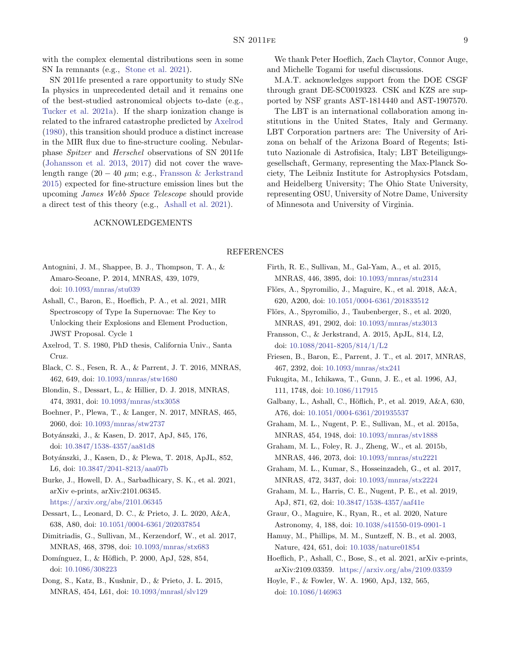with the complex elemental distributions seen in some SN Ia remnants (e.g., [Stone et al.](#page-10-19) [2021\)](#page-10-19).

SN 2011fe presented a rare opportunity to study SNe Ia physics in unprecedented detail and it remains one of the best-studied astronomical objects to-date (e.g., [Tucker et al.](#page-10-4) [2021a\)](#page-10-4). If the sharp ionization change is related to the infrared catastrophe predicted by [Axelrod](#page-8-23) [\(1980\)](#page-8-23), this transition should produce a distinct increase in the MIR flux due to fine-structure cooling. Nebularphase Spitzer and Herschel observations of SN 2011fe [\(Johansson et al.](#page-9-41) [2013,](#page-9-41) [2017\)](#page-9-42) did not cover the wavelength range  $(20 - 40 \mu m; e.g., Fransson & Jerkstrand$  $(20 - 40 \mu m; e.g., Fransson & Jerkstrand$ [2015\)](#page-8-3) expected for fine-structure emission lines but the upcoming James Webb Space Telescope should provide a direct test of this theory (e.g., [Ashall et al.](#page-8-27) [2021\)](#page-8-27).

# ACKNOWLEDGEMENTS

We thank Peter Hoeflich, Zach Claytor, Connor Auge, and Michelle Togami for useful discussions.

M.A.T. acknowledges support from the DOE CSGF through grant DE-SC0019323. CSK and KZS are supported by NSF grants AST-1814440 and AST-1907570.

The LBT is an international collaboration among institutions in the United States, Italy and Germany. LBT Corporation partners are: The University of Arizona on behalf of the Arizona Board of Regents; Istituto Nazionale di Astrofisica, Italy; LBT Beteiligungsgesellschaft, Germany, representing the Max-Planck Society, The Leibniz Institute for Astrophysics Potsdam, and Heidelberg University; The Ohio State University, representing OSU, University of Notre Dame, University of Minnesota and University of Virginia.

# REFERENCES

- <span id="page-8-20"></span>Antognini, J. M., Shappee, B. J., Thompson, T. A., & Amaro-Seoane, P. 2014, MNRAS, 439, 1079, doi: [10.1093/mnras/stu039](http://doi.org/10.1093/mnras/stu039)
- <span id="page-8-27"></span>Ashall, C., Baron, E., Hoeflich, P. A., et al. 2021, MIR Spectroscopy of Type Ia Supernovae: The Key to Unlocking their Explosions and Element Production, JWST Proposal. Cycle 1
- <span id="page-8-23"></span>Axelrod, T. S. 1980, PhD thesis, California Univ., Santa Cruz.
- <span id="page-8-24"></span>Black, C. S., Fesen, R. A., & Parrent, J. T. 2016, MNRAS, 462, 649, doi: [10.1093/mnras/stw1680](http://doi.org/10.1093/mnras/stw1680)
- <span id="page-8-25"></span>Blondin, S., Dessart, L., & Hillier, D. J. 2018, MNRAS, 474, 3931, doi: [10.1093/mnras/stx3058](http://doi.org/10.1093/mnras/stx3058)
- <span id="page-8-17"></span>Boehner, P., Plewa, T., & Langer, N. 2017, MNRAS, 465, 2060, doi: [10.1093/mnras/stw2737](http://doi.org/10.1093/mnras/stw2737)
- <span id="page-8-1"></span>Boty´anszki, J., & Kasen, D. 2017, ApJ, 845, 176, doi: [10.3847/1538-4357/aa81d8](http://doi.org/10.3847/1538-4357/aa81d8)
- <span id="page-8-16"></span>Botyánszki, J., Kasen, D., & Plewa, T. 2018, ApJL, 852, L6, doi: [10.3847/2041-8213/aaa07b](http://doi.org/10.3847/2041-8213/aaa07b)
- <span id="page-8-26"></span>Burke, J., Howell, D. A., Sarbadhicary, S. K., et al. 2021, arXiv e-prints, arXiv:2101.06345. <https://arxiv.org/abs/2101.06345>
- <span id="page-8-15"></span>Dessart, L., Leonard, D. C., & Prieto, J. L. 2020, A&A, 638, A80, doi: [10.1051/0004-6361/202037854](http://doi.org/10.1051/0004-6361/202037854)
- <span id="page-8-14"></span>Dimitriadis, G., Sullivan, M., Kerzendorf, W., et al. 2017, MNRAS, 468, 3798, doi: [10.1093/mnras/stx683](http://doi.org/10.1093/mnras/stx683)
- <span id="page-8-11"></span>Domínguez, I., & Höflich, P. 2000, ApJ, 528, 854, doi: [10.1086/308223](http://doi.org/10.1086/308223)
- <span id="page-8-21"></span>Dong, S., Katz, B., Kushnir, D., & Prieto, J. L. 2015, MNRAS, 454, L61, doi: [10.1093/mnrasl/slv129](http://doi.org/10.1093/mnrasl/slv129)
- <span id="page-8-7"></span>Firth, R. E., Sullivan, M., Gal-Yam, A., et al. 2015, MNRAS, 446, 3895, doi: [10.1093/mnras/stu2314](http://doi.org/10.1093/mnras/stu2314)
- <span id="page-8-9"></span>Flörs, A., Spyromilio, J., Maguire, K., et al. 2018, A&A, 620, A200, doi: [10.1051/0004-6361/201833512](http://doi.org/10.1051/0004-6361/201833512)
- <span id="page-8-10"></span>Flörs, A., Spyromilio, J., Taubenberger, S., et al. 2020, MNRAS, 491, 2902, doi: [10.1093/mnras/stz3013](http://doi.org/10.1093/mnras/stz3013)
- <span id="page-8-3"></span>Fransson, C., & Jerkstrand, A. 2015, ApJL, 814, L2, doi: [10.1088/2041-8205/814/1/L2](http://doi.org/10.1088/2041-8205/814/1/L2)
- <span id="page-8-4"></span>Friesen, B., Baron, E., Parrent, J. T., et al. 2017, MNRAS, 467, 2392, doi: [10.1093/mnras/stx241](http://doi.org/10.1093/mnras/stx241)
- <span id="page-8-6"></span>Fukugita, M., Ichikawa, T., Gunn, J. E., et al. 1996, AJ, 111, 1748, doi: [10.1086/117915](http://doi.org/10.1086/117915)
- <span id="page-8-12"></span>Galbany, L., Ashall, C., Höflich, P., et al. 2019, A&A, 630, A76, doi: [10.1051/0004-6361/201935537](http://doi.org/10.1051/0004-6361/201935537)
- <span id="page-8-2"></span>Graham, M. L., Nugent, P. E., Sullivan, M., et al. 2015a, MNRAS, 454, 1948, doi: [10.1093/mnras/stv1888](http://doi.org/10.1093/mnras/stv1888)
- <span id="page-8-5"></span>Graham, M. L., Foley, R. J., Zheng, W., et al. 2015b, MNRAS, 446, 2073, doi: [10.1093/mnras/stu2221](http://doi.org/10.1093/mnras/stu2221)
- <span id="page-8-8"></span>Graham, M. L., Kumar, S., Hosseinzadeh, G., et al. 2017, MNRAS, 472, 3437, doi: [10.1093/mnras/stx2224](http://doi.org/10.1093/mnras/stx2224)
- <span id="page-8-19"></span>Graham, M. L., Harris, C. E., Nugent, P. E., et al. 2019, ApJ, 871, 62, doi: [10.3847/1538-4357/aaf41e](http://doi.org/10.3847/1538-4357/aaf41e)
- <span id="page-8-13"></span>Graur, O., Maguire, K., Ryan, R., et al. 2020, Nature Astronomy, 4, 188, doi: [10.1038/s41550-019-0901-1](http://doi.org/10.1038/s41550-019-0901-1)
- <span id="page-8-18"></span>Hamuy, M., Phillips, M. M., Suntzeff, N. B., et al. 2003, Nature, 424, 651, doi: [10.1038/nature01854](http://doi.org/10.1038/nature01854)
- <span id="page-8-22"></span>Hoeflich, P., Ashall, C., Bose, S., et al. 2021, arXiv e-prints, arXiv:2109.03359. <https://arxiv.org/abs/2109.03359>
- <span id="page-8-0"></span>Hoyle, F., & Fowler, W. A. 1960, ApJ, 132, 565, doi: [10.1086/146963](http://doi.org/10.1086/146963)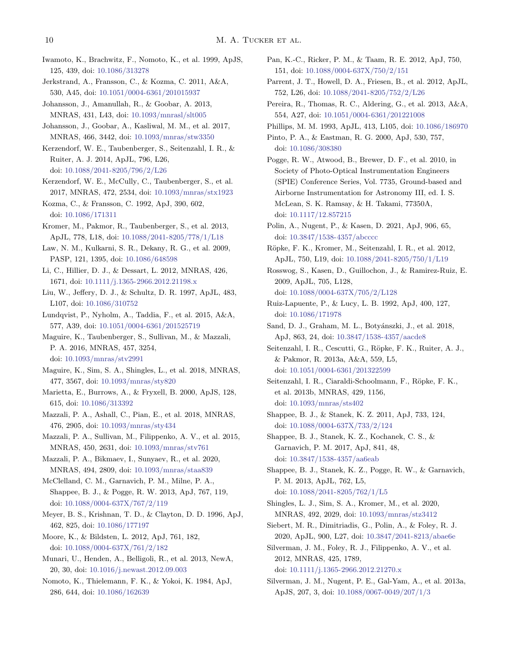- <span id="page-9-0"></span>Iwamoto, K., Brachwitz, F., Nomoto, K., et al. 1999, ApJS, 125, 439, doi: [10.1086/313278](http://doi.org/10.1086/313278)
- <span id="page-9-36"></span>Jerkstrand, A., Fransson, C., & Kozma, C. 2011, A&A, 530, A45, doi: [10.1051/0004-6361/201015937](http://doi.org/10.1051/0004-6361/201015937)
- <span id="page-9-41"></span>Johansson, J., Amanullah, R., & Goobar, A. 2013, MNRAS, 431, L43, doi: [10.1093/mnrasl/slt005](http://doi.org/10.1093/mnrasl/slt005)
- <span id="page-9-42"></span>Johansson, J., Goobar, A., Kasliwal, M. M., et al. 2017, MNRAS, 466, 3442, doi: [10.1093/mnras/stw3350](http://doi.org/10.1093/mnras/stw3350)
- <span id="page-9-14"></span>Kerzendorf, W. E., Taubenberger, S., Seitenzahl, I. R., & Ruiter, A. J. 2014, ApJL, 796, L26, doi: [10.1088/2041-8205/796/2/L26](http://doi.org/10.1088/2041-8205/796/2/L26)
- <span id="page-9-15"></span>Kerzendorf, W. E., McCully, C., Taubenberger, S., et al. 2017, MNRAS, 472, 2534, doi: [10.1093/mnras/stx1923](http://doi.org/10.1093/mnras/stx1923)
- <span id="page-9-35"></span>Kozma, C., & Fransson, C. 1992, ApJ, 390, 602, doi: [10.1086/171311](http://doi.org/10.1086/171311)
- <span id="page-9-32"></span>Kromer, M., Pakmor, R., Taubenberger, S., et al. 2013, ApJL, 778, L18, doi: [10.1088/2041-8205/778/1/L18](http://doi.org/10.1088/2041-8205/778/1/L18)
- <span id="page-9-2"></span>Law, N. M., Kulkarni, S. R., Dekany, R. G., et al. 2009, PASP, 121, 1395, doi: [10.1086/648598](http://doi.org/10.1086/648598)
- <span id="page-9-37"></span>Li, C., Hillier, D. J., & Dessart, L. 2012, MNRAS, 426, 1671, doi: [10.1111/j.1365-2966.2012.21198.x](http://doi.org/10.1111/j.1365-2966.2012.21198.x)
- <span id="page-9-21"></span>Liu, W., Jeffery, D. J., & Schultz, D. R. 1997, ApJL, 483, L107, doi: [10.1086/310752](http://doi.org/10.1086/310752)
- <span id="page-9-7"></span>Lundqvist, P., Nyholm, A., Taddia, F., et al. 2015, A&A, 577, A39, doi: [10.1051/0004-6361/201525719](http://doi.org/10.1051/0004-6361/201525719)
- <span id="page-9-26"></span>Maguire, K., Taubenberger, S., Sullivan, M., & Mazzali, P. A. 2016, MNRAS, 457, 3254, doi: [10.1093/mnras/stv2991](http://doi.org/10.1093/mnras/stv2991)
- <span id="page-9-16"></span>Maguire, K., Sim, S. A., Shingles, L., et al. 2018, MNRAS, 477, 3567, doi: [10.1093/mnras/sty820](http://doi.org/10.1093/mnras/sty820)
- <span id="page-9-28"></span>Marietta, E., Burrows, A., & Fryxell, B. 2000, ApJS, 128, 615, doi: [10.1086/313392](http://doi.org/10.1086/313392)
- <span id="page-9-34"></span>Mazzali, P. A., Ashall, C., Pian, E., et al. 2018, MNRAS, 476, 2905, doi: [10.1093/mnras/sty434](http://doi.org/10.1093/mnras/sty434)
- <span id="page-9-9"></span>Mazzali, P. A., Sullivan, M., Filippenko, A. V., et al. 2015, MNRAS, 450, 2631, doi: [10.1093/mnras/stv761](http://doi.org/10.1093/mnras/stv761)
- <span id="page-9-39"></span>Mazzali, P. A., Bikmaev, I., Sunyaev, R., et al. 2020, MNRAS, 494, 2809, doi: [10.1093/mnras/staa839](http://doi.org/10.1093/mnras/staa839)
- <span id="page-9-8"></span>McClelland, C. M., Garnavich, P. M., Milne, P. A., Shappee, B. J., & Pogge, R. W. 2013, ApJ, 767, 119, doi: [10.1088/0004-637X/767/2/119](http://doi.org/10.1088/0004-637X/767/2/119)
- <span id="page-9-22"></span>Meyer, B. S., Krishnan, T. D., & Clayton, D. D. 1996, ApJ, 462, 825, doi: [10.1086/177197](http://doi.org/10.1086/177197)
- <span id="page-9-30"></span>Moore, K., & Bildsten, L. 2012, ApJ, 761, 182, doi: [10.1088/0004-637X/761/2/182](http://doi.org/10.1088/0004-637X/761/2/182)
- <span id="page-9-12"></span>Munari, U., Henden, A., Belligoli, R., et al. 2013, NewA, 20, 30, doi: [10.1016/j.newast.2012.09.003](http://doi.org/10.1016/j.newast.2012.09.003)
- <span id="page-9-25"></span>Nomoto, K., Thielemann, F. K., & Yokoi, K. 1984, ApJ, 286, 644, doi: [10.1086/162639](http://doi.org/10.1086/162639)
- <span id="page-9-38"></span><span id="page-9-33"></span><span id="page-9-29"></span><span id="page-9-23"></span><span id="page-9-19"></span><span id="page-9-11"></span><span id="page-9-5"></span><span id="page-9-4"></span><span id="page-9-1"></span>Pan, K.-C., Ricker, P. M., & Taam, R. E. 2012, ApJ, 750, 151, doi: [10.1088/0004-637X/750/2/151](http://doi.org/10.1088/0004-637X/750/2/151) Parrent, J. T., Howell, D. A., Friesen, B., et al. 2012, ApJL, 752, L26, doi: [10.1088/2041-8205/752/2/L26](http://doi.org/10.1088/2041-8205/752/2/L26) Pereira, R., Thomas, R. C., Aldering, G., et al. 2013, A&A, 554, A27, doi: [10.1051/0004-6361/201221008](http://doi.org/10.1051/0004-6361/201221008) Phillips, M. M. 1993, ApJL, 413, L105, doi: [10.1086/186970](http://doi.org/10.1086/186970) Pinto, P. A., & Eastman, R. G. 2000, ApJ, 530, 757, doi: [10.1086/308380](http://doi.org/10.1086/308380) Pogge, R. W., Atwood, B., Brewer, D. F., et al. 2010, in Society of Photo-Optical Instrumentation Engineers (SPIE) Conference Series, Vol. 7735, Ground-based and Airborne Instrumentation for Astronomy III, ed. I. S. McLean, S. K. Ramsay, & H. Takami, 77350A, doi: [10.1117/12.857215](http://doi.org/10.1117/12.857215) Polin, A., Nugent, P., & Kasen, D. 2021, ApJ, 906, 65, doi: [10.3847/1538-4357/abcccc](http://doi.org/10.3847/1538-4357/abcccc) Röpke, F. K., Kromer, M., Seitenzahl, I. R., et al. 2012, ApJL, 750, L19, doi: [10.1088/2041-8205/750/1/L19](http://doi.org/10.1088/2041-8205/750/1/L19) Rosswog, S., Kasen, D., Guillochon, J., & Ramirez-Ruiz, E. 2009, ApJL, 705, L128, doi: [10.1088/0004-637X/705/2/L128](http://doi.org/10.1088/0004-637X/705/2/L128) Ruiz-Lapuente, P., & Lucy, L. B. 1992, ApJ, 400, 127, doi: [10.1086/171978](http://doi.org/10.1086/171978) Sand, D. J., Graham, M. L., Botyánszki, J., et al. 2018, ApJ, 863, 24, doi: [10.3847/1538-4357/aacde8](http://doi.org/10.3847/1538-4357/aacde8) Seitenzahl, I. R., Cescutti, G., Röpke, F. K., Ruiter, A. J., & Pakmor, R. 2013a, A&A, 559, L5, doi: [10.1051/0004-6361/201322599](http://doi.org/10.1051/0004-6361/201322599) Seitenzahl, I. R., Ciaraldi-Schoolmann, F., Röpke, F. K., et al. 2013b, MNRAS, 429, 1156, doi: [10.1093/mnras/sts402](http://doi.org/10.1093/mnras/sts402) Shappee, B. J., & Stanek, K. Z. 2011, ApJ, 733, 124, doi: [10.1088/0004-637X/733/2/124](http://doi.org/10.1088/0004-637X/733/2/124) Shappee, B. J., Stanek, K. Z., Kochanek, C. S., & Garnavich, P. M. 2017, ApJ, 841, 48, doi: [10.3847/1538-4357/aa6eab](http://doi.org/10.3847/1538-4357/aa6eab) Shappee, B. J., Stanek, K. Z., Pogge, R. W., & Garnavich, P. M. 2013, ApJL, 762, L5,
	- doi: [10.1088/2041-8205/762/1/L5](http://doi.org/10.1088/2041-8205/762/1/L5)
- <span id="page-9-27"></span><span id="page-9-24"></span><span id="page-9-20"></span><span id="page-9-18"></span><span id="page-9-17"></span><span id="page-9-13"></span><span id="page-9-6"></span><span id="page-9-3"></span>Shingles, L. J., Sim, S. A., Kromer, M., et al. 2020, MNRAS, 492, 2029, doi: [10.1093/mnras/stz3412](http://doi.org/10.1093/mnras/stz3412)
- <span id="page-9-40"></span>Siebert, M. R., Dimitriadis, G., Polin, A., & Foley, R. J. 2020, ApJL, 900, L27, doi: [10.3847/2041-8213/abae6e](http://doi.org/10.3847/2041-8213/abae6e)
- <span id="page-9-10"></span>Silverman, J. M., Foley, R. J., Filippenko, A. V., et al. 2012, MNRAS, 425, 1789,
	- doi: [10.1111/j.1365-2966.2012.21270.x](http://doi.org/10.1111/j.1365-2966.2012.21270.x)
- <span id="page-9-31"></span>Silverman, J. M., Nugent, P. E., Gal-Yam, A., et al. 2013a, ApJS, 207, 3, doi: [10.1088/0067-0049/207/1/3](http://doi.org/10.1088/0067-0049/207/1/3)